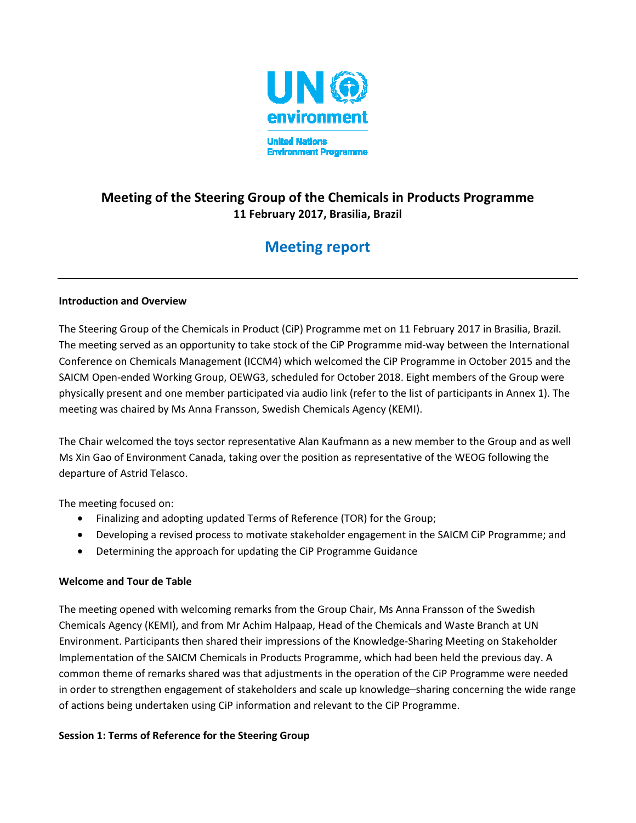

# Meeting of the Steering Group of the Chemicals in Products Programme 11 February 2017, Brasilia, Brazil

# Meeting report

#### Introduction and Overview

The Steering Group of the Chemicals in Product (CiP) Programme met on 11 February 2017 in Brasilia, Brazil. The meeting served as an opportunity to take stock of the CiP Programme mid-way between the International Conference on Chemicals Management (ICCM4) which welcomed the CiP Programme in October 2015 and the SAICM Open-ended Working Group, OEWG3, scheduled for October 2018. Eight members of the Group were physically present and one member participated via audio link (refer to the list of participants in Annex 1). The meeting was chaired by Ms Anna Fransson, Swedish Chemicals Agency (KEMI).

The Chair welcomed the toys sector representative Alan Kaufmann as a new member to the Group and as well Ms Xin Gao of Environment Canada, taking over the position as representative of the WEOG following the departure of Astrid Telasco.

The meeting focused on:

- Finalizing and adopting updated Terms of Reference (TOR) for the Group;
- Developing a revised process to motivate stakeholder engagement in the SAICM CiP Programme; and
- Determining the approach for updating the CiP Programme Guidance

## Welcome and Tour de Table

The meeting opened with welcoming remarks from the Group Chair, Ms Anna Fransson of the Swedish Chemicals Agency (KEMI), and from Mr Achim Halpaap, Head of the Chemicals and Waste Branch at UN Environment. Participants then shared their impressions of the Knowledge-Sharing Meeting on Stakeholder Implementation of the SAICM Chemicals in Products Programme, which had been held the previous day. A common theme of remarks shared was that adjustments in the operation of the CiP Programme were needed in order to strengthen engagement of stakeholders and scale up knowledge–sharing concerning the wide range of actions being undertaken using CiP information and relevant to the CiP Programme.

## Session 1: Terms of Reference for the Steering Group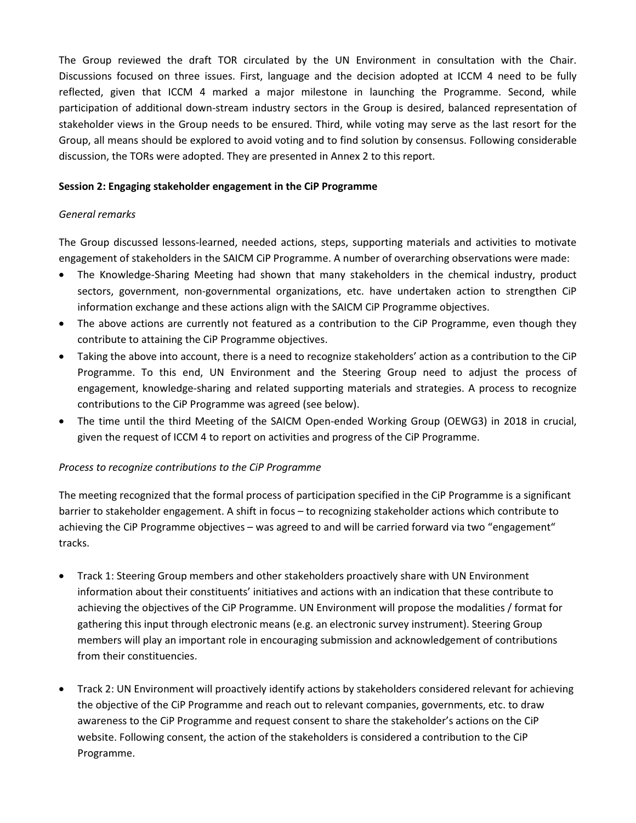The Group reviewed the draft TOR circulated by the UN Environment in consultation with the Chair. Discussions focused on three issues. First, language and the decision adopted at ICCM 4 need to be fully reflected, given that ICCM 4 marked a major milestone in launching the Programme. Second, while participation of additional down-stream industry sectors in the Group is desired, balanced representation of stakeholder views in the Group needs to be ensured. Third, while voting may serve as the last resort for the Group, all means should be explored to avoid voting and to find solution by consensus. Following considerable discussion, the TORs were adopted. They are presented in Annex 2 to this report.

#### Session 2: Engaging stakeholder engagement in the CiP Programme

#### General remarks

The Group discussed lessons-learned, needed actions, steps, supporting materials and activities to motivate engagement of stakeholders in the SAICM CiP Programme. A number of overarching observations were made:

- The Knowledge-Sharing Meeting had shown that many stakeholders in the chemical industry, product sectors, government, non-governmental organizations, etc. have undertaken action to strengthen CiP information exchange and these actions align with the SAICM CiP Programme objectives.
- The above actions are currently not featured as a contribution to the CiP Programme, even though they contribute to attaining the CiP Programme objectives.
- Taking the above into account, there is a need to recognize stakeholders' action as a contribution to the CiP Programme. To this end, UN Environment and the Steering Group need to adjust the process of engagement, knowledge-sharing and related supporting materials and strategies. A process to recognize contributions to the CiP Programme was agreed (see below).
- The time until the third Meeting of the SAICM Open-ended Working Group (OEWG3) in 2018 in crucial, given the request of ICCM 4 to report on activities and progress of the CiP Programme.

#### Process to recognize contributions to the CiP Programme

The meeting recognized that the formal process of participation specified in the CiP Programme is a significant barrier to stakeholder engagement. A shift in focus – to recognizing stakeholder actions which contribute to achieving the CiP Programme objectives – was agreed to and will be carried forward via two "engagement" tracks.

- Track 1: Steering Group members and other stakeholders proactively share with UN Environment information about their constituents' initiatives and actions with an indication that these contribute to achieving the objectives of the CiP Programme. UN Environment will propose the modalities / format for gathering this input through electronic means (e.g. an electronic survey instrument). Steering Group members will play an important role in encouraging submission and acknowledgement of contributions from their constituencies.
- Track 2: UN Environment will proactively identify actions by stakeholders considered relevant for achieving the objective of the CiP Programme and reach out to relevant companies, governments, etc. to draw awareness to the CiP Programme and request consent to share the stakeholder's actions on the CiP website. Following consent, the action of the stakeholders is considered a contribution to the CiP Programme.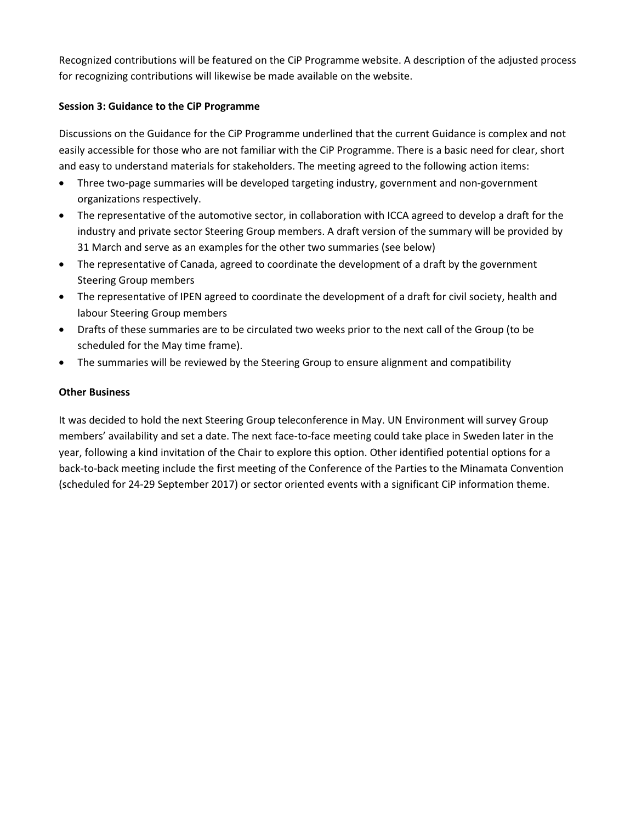Recognized contributions will be featured on the CiP Programme website. A description of the adjusted process for recognizing contributions will likewise be made available on the website.

#### Session 3: Guidance to the CiP Programme

Discussions on the Guidance for the CiP Programme underlined that the current Guidance is complex and not easily accessible for those who are not familiar with the CiP Programme. There is a basic need for clear, short and easy to understand materials for stakeholders. The meeting agreed to the following action items:

- Three two-page summaries will be developed targeting industry, government and non-government organizations respectively.
- The representative of the automotive sector, in collaboration with ICCA agreed to develop a draft for the industry and private sector Steering Group members. A draft version of the summary will be provided by 31 March and serve as an examples for the other two summaries (see below)
- The representative of Canada, agreed to coordinate the development of a draft by the government Steering Group members
- The representative of IPEN agreed to coordinate the development of a draft for civil society, health and labour Steering Group members
- Drafts of these summaries are to be circulated two weeks prior to the next call of the Group (to be scheduled for the May time frame).
- The summaries will be reviewed by the Steering Group to ensure alignment and compatibility

#### Other Business

It was decided to hold the next Steering Group teleconference in May. UN Environment will survey Group members' availability and set a date. The next face-to-face meeting could take place in Sweden later in the year, following a kind invitation of the Chair to explore this option. Other identified potential options for a back-to-back meeting include the first meeting of the Conference of the Parties to the Minamata Convention (scheduled for 24-29 September 2017) or sector oriented events with a significant CiP information theme.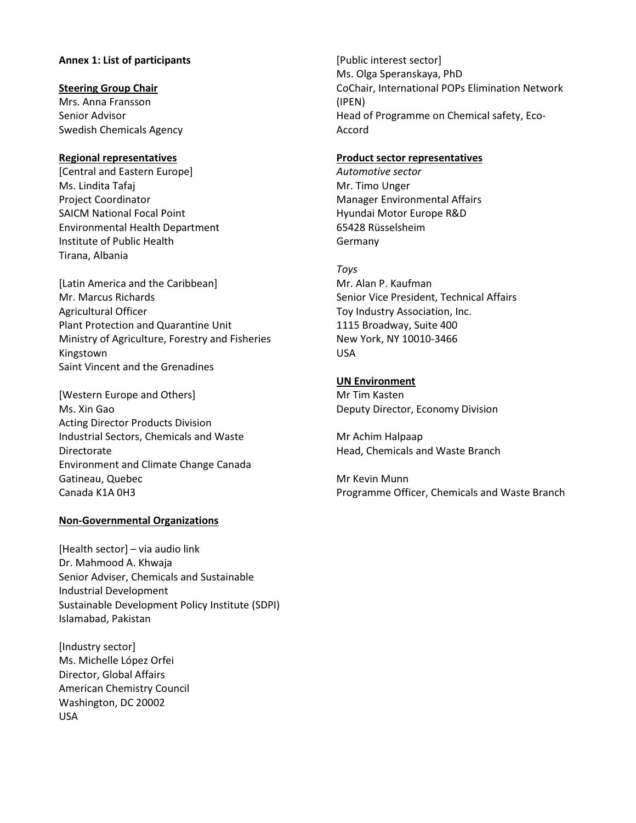#### Annex 1: List of participants

#### Steering Group Chair

Mrs. Anna Fransson Senior Advisor Swedish Chemicals Agency

#### Regional representatives

[Central and Eastern Europe] Ms. Lindita Tafaj Project Coordinator SAICM National Focal Point Environmental Health Department Institute of Public Health Tirana, Albania

[Latin America and the Caribbean] Mr. Marcus Richards Agricultural Officer Plant Protection and Quarantine Unit Ministry of Agriculture, Forestry and Fisheries Kingstown Saint Vincent and the Grenadines

[Western Europe and Others] Ms. Xin Gao Acting Director Products Division Industrial Sectors, Chemicals and Waste Directorate Environment and Climate Change Canada Gatineau, Quebec Canada K1A 0H3

#### Non-Governmental Organizations

[Health sector] – via audio link Dr. Mahmood A. Khwaja Senior Adviser, Chemicals and Sustainable Industrial Development Sustainable Development Policy Institute (SDPI) Islamabad, Pakistan

[Industry sector] Ms. Michelle López Orfei Director, Global Affairs American Chemistry Council Washington, DC 20002 USA

[Public interest sector] Ms. Olga Speranskaya, PhD CoChair, International POPs Elimination Network (IPEN) Head of Programme on Chemical safety, Eco-Accord

#### Product sector representatives

Automotive sector Mr. Timo Unger Manager Environmental Affairs Hyundai Motor Europe R&D 65428 Rüsselsheim Germany

#### Toys

Mr. Alan P. Kaufman Senior Vice President, Technical Affairs Toy Industry Association, Inc. 1115 Broadway, Suite 400 New York, NY 10010-3466 USA

#### UN Environment

Mr Tim Kasten Deputy Director, Economy Division

Mr Achim Halpaap Head, Chemicals and Waste Branch

Mr Kevin Munn Programme Officer, Chemicals and Waste Branch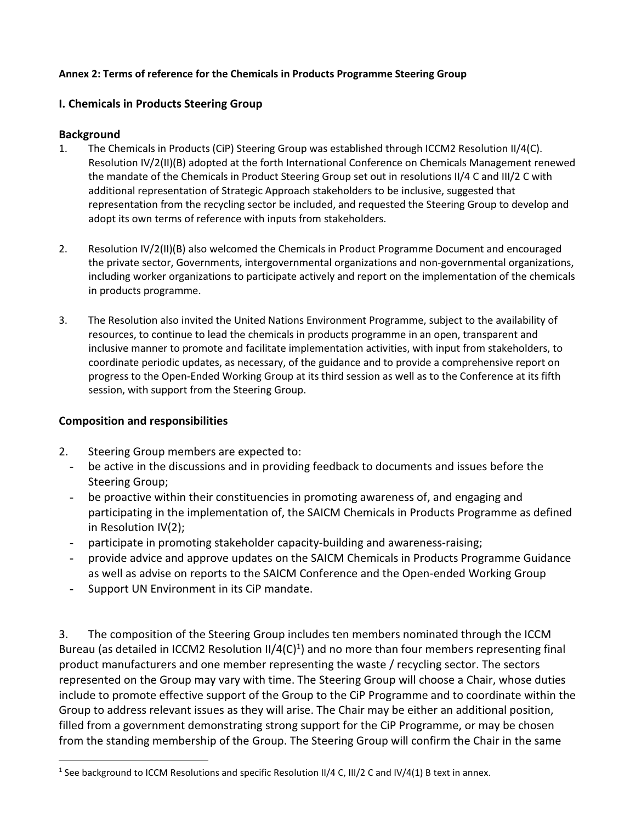# Annex 2: Terms of reference for the Chemicals in Products Programme Steering Group

# I. Chemicals in Products Steering Group

# Background

- 1. The Chemicals in Products (CiP) Steering Group was established through ICCM2 Resolution II/4(C). Resolution IV/2(II)(B) adopted at the forth International Conference on Chemicals Management renewed the mandate of the Chemicals in Product Steering Group set out in resolutions II/4 C and III/2 C with additional representation of Strategic Approach stakeholders to be inclusive, suggested that representation from the recycling sector be included, and requested the Steering Group to develop and adopt its own terms of reference with inputs from stakeholders.
- 2. Resolution IV/2(II)(B) also welcomed the Chemicals in Product Programme Document and encouraged the private sector, Governments, intergovernmental organizations and non-governmental organizations, including worker organizations to participate actively and report on the implementation of the chemicals in products programme.
- 3. The Resolution also invited the United Nations Environment Programme, subject to the availability of resources, to continue to lead the chemicals in products programme in an open, transparent and inclusive manner to promote and facilitate implementation activities, with input from stakeholders, to coordinate periodic updates, as necessary, of the guidance and to provide a comprehensive report on progress to the Open-Ended Working Group at its third session as well as to the Conference at its fifth session, with support from the Steering Group.

# Composition and responsibilities

 $\overline{a}$ 

- 2. Steering Group members are expected to:
	- be active in the discussions and in providing feedback to documents and issues before the Steering Group;
	- be proactive within their constituencies in promoting awareness of, and engaging and participating in the implementation of, the SAICM Chemicals in Products Programme as defined in Resolution IV(2);
	- participate in promoting stakeholder capacity-building and awareness-raising;
	- provide advice and approve updates on the SAICM Chemicals in Products Programme Guidance as well as advise on reports to the SAICM Conference and the Open-ended Working Group
	- Support UN Environment in its CiP mandate.

3. The composition of the Steering Group includes ten members nominated through the ICCM Bureau (as detailed in ICCM2 Resolution II/4(C)<sup>1</sup>) and no more than four members representing final product manufacturers and one member representing the waste / recycling sector. The sectors represented on the Group may vary with time. The Steering Group will choose a Chair, whose duties include to promote effective support of the Group to the CiP Programme and to coordinate within the Group to address relevant issues as they will arise. The Chair may be either an additional position, filled from a government demonstrating strong support for the CiP Programme, or may be chosen from the standing membership of the Group. The Steering Group will confirm the Chair in the same

<sup>&</sup>lt;sup>1</sup> See background to ICCM Resolutions and specific Resolution II/4 C, III/2 C and IV/4(1) B text in annex.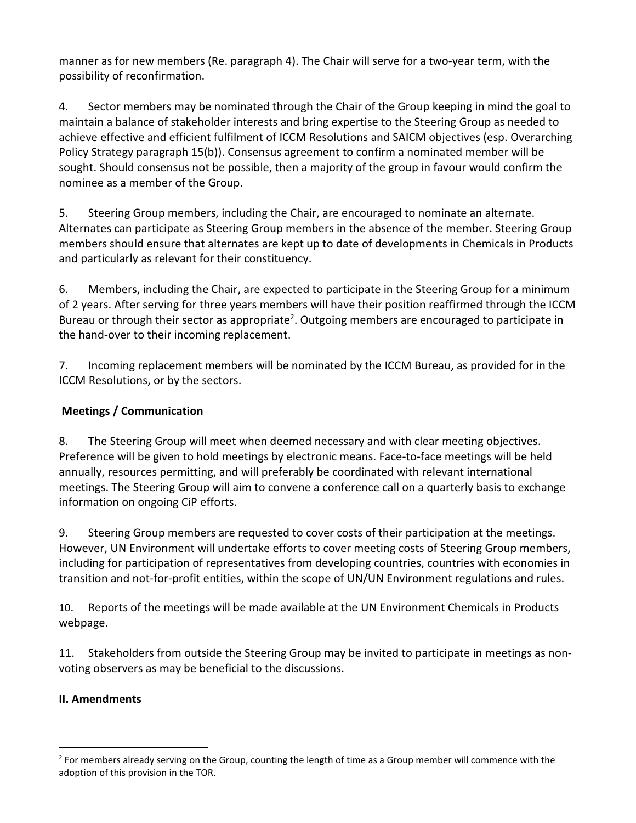manner as for new members (Re. paragraph 4). The Chair will serve for a two-year term, with the possibility of reconfirmation.

4. Sector members may be nominated through the Chair of the Group keeping in mind the goal to maintain a balance of stakeholder interests and bring expertise to the Steering Group as needed to achieve effective and efficient fulfilment of ICCM Resolutions and SAICM objectives (esp. Overarching Policy Strategy paragraph 15(b)). Consensus agreement to confirm a nominated member will be sought. Should consensus not be possible, then a majority of the group in favour would confirm the nominee as a member of the Group.

5. Steering Group members, including the Chair, are encouraged to nominate an alternate. Alternates can participate as Steering Group members in the absence of the member. Steering Group members should ensure that alternates are kept up to date of developments in Chemicals in Products and particularly as relevant for their constituency.

6. Members, including the Chair, are expected to participate in the Steering Group for a minimum of 2 years. After serving for three years members will have their position reaffirmed through the ICCM Bureau or through their sector as appropriate<sup>2</sup>. Outgoing members are encouraged to participate in the hand-over to their incoming replacement.

7. Incoming replacement members will be nominated by the ICCM Bureau, as provided for in the ICCM Resolutions, or by the sectors.

# Meetings / Communication

8. The Steering Group will meet when deemed necessary and with clear meeting objectives. Preference will be given to hold meetings by electronic means. Face-to-face meetings will be held annually, resources permitting, and will preferably be coordinated with relevant international meetings. The Steering Group will aim to convene a conference call on a quarterly basis to exchange information on ongoing CiP efforts.

9. Steering Group members are requested to cover costs of their participation at the meetings. However, UN Environment will undertake efforts to cover meeting costs of Steering Group members, including for participation of representatives from developing countries, countries with economies in transition and not-for-profit entities, within the scope of UN/UN Environment regulations and rules.

10. Reports of the meetings will be made available at the UN Environment Chemicals in Products webpage.

11. Stakeholders from outside the Steering Group may be invited to participate in meetings as nonvoting observers as may be beneficial to the discussions.

# II. Amendments

 $\overline{a}$ 

 $2$  For members already serving on the Group, counting the length of time as a Group member will commence with the adoption of this provision in the TOR.